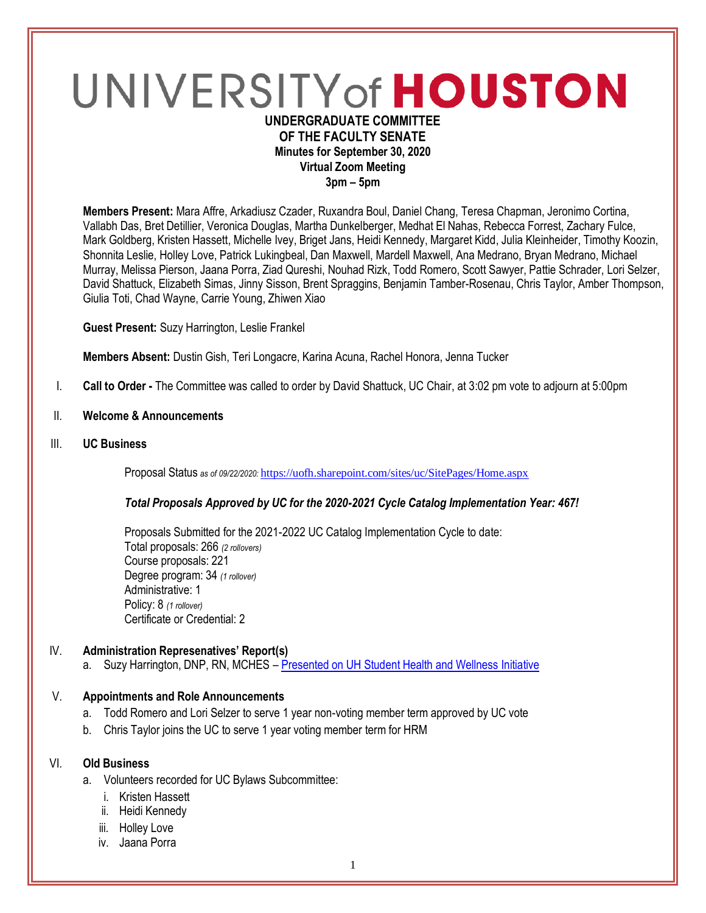# UNIVERSITY of HOUSTON **UNDERGRADUATE COMMITTEE**

## **OF THE FACULTY SENATE Minutes for September 30, 2020 Virtual Zoom Meeting 3pm – 5pm**

**Members Present:** Mara Affre, Arkadiusz Czader, Ruxandra Boul, Daniel Chang, Teresa Chapman, Jeronimo Cortina, Vallabh Das, Bret Detillier, Veronica Douglas, Martha Dunkelberger, Medhat El Nahas, Rebecca Forrest, Zachary Fulce, Mark Goldberg, Kristen Hassett, Michelle Ivey, Briget Jans, Heidi Kennedy, Margaret Kidd, Julia Kleinheider, Timothy Koozin, Shonnita Leslie, Holley Love, Patrick Lukingbeal, Dan Maxwell, Mardell Maxwell, Ana Medrano, Bryan Medrano, Michael Murray, Melissa Pierson, Jaana Porra, Ziad Qureshi, Nouhad Rizk, Todd Romero, Scott Sawyer, Pattie Schrader, Lori Selzer, David Shattuck, Elizabeth Simas, Jinny Sisson, Brent Spraggins, Benjamin Tamber-Rosenau, Chris Taylor, Amber Thompson, Giulia Toti, Chad Wayne, Carrie Young, Zhiwen Xiao

**Guest Present:** Suzy Harrington, Leslie Frankel

**Members Absent:** Dustin Gish, Teri Longacre, Karina Acuna, Rachel Honora, Jenna Tucker

- I. **Call to Order -** The Committee was called to order by David Shattuck, UC Chair, at 3:02 pm vote to adjourn at 5:00pm
- II. **Welcome & Announcements**
- III. **UC Business**

Proposal Status *as of 09/22/2020:* <https://uofh.sharepoint.com/sites/uc/SitePages/Home.aspx>

## *Total Proposals Approved by UC for the 2020-2021 Cycle Catalog Implementation Year: 467!*

Proposals Submitted for the 2021-2022 UC Catalog Implementation Cycle to date: Total proposals: 266 *(2 rollovers)* Course proposals: 221 Degree program: 34 *(1 rollover)* Administrative: 1 Policy: 8 *(1 rollover)* Certificate or Credential: 2

## IV. **Administration Represenatives' Report(s)**

a. Suzy Harrington, DNP, RN, MCHES – [Presented on UH Student Health and Wellness](https://uofh.sharepoint.com/:p:/s/uc/admin/EQlEP3RkiE1Il-e80xe-KKQBIDZ3WhL77RO_AbaO0er6EA?e=K3NnjF) Initiative

## V. **Appointments and Role Announcements**

- a. Todd Romero and Lori Selzer to serve 1 year non-voting member term approved by UC vote
- b. Chris Taylor joins the UC to serve 1 year voting member term for HRM

## VI. **Old Business**

- a. Volunteers recorded for UC Bylaws Subcommittee:
	- i. Kristen Hassett
	- ii. Heidi Kennedy
	- iii. Holley Love
	- iv. Jaana Porra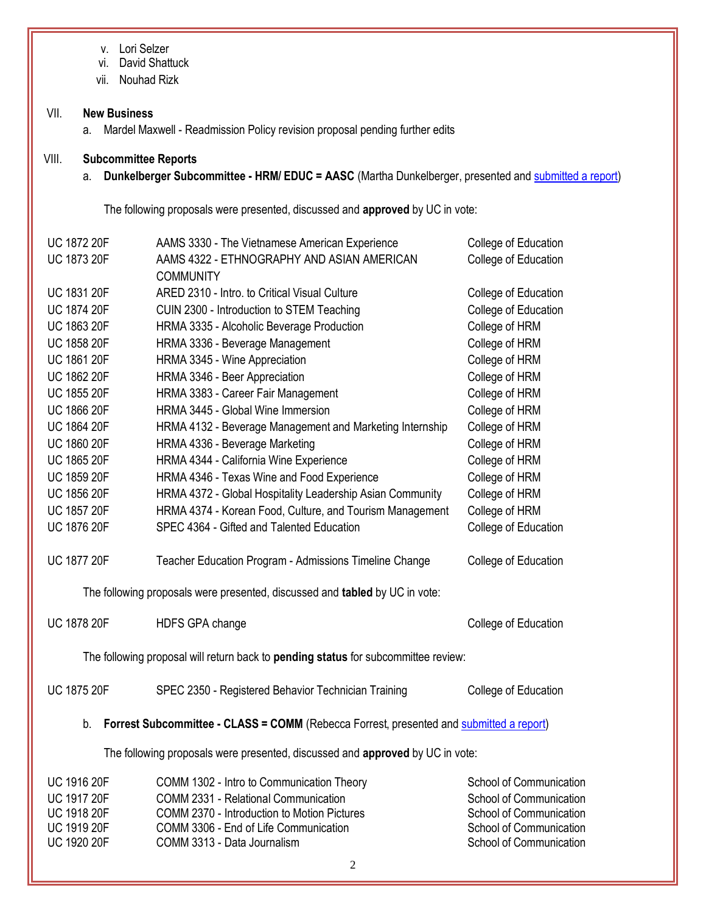v. Lori Selzer

vi. David Shattuck

vii. Nouhad Rizk

## VII. **New Business**

a. Mardel Maxwell - Readmission Policy revision proposal pending further edits

## VIII. **Subcommittee Reports**

a. **Dunkelberger Subcommittee - HRM/ EDUC = AASC** (Martha Dunkelberger, presented and [submitted a report\)](https://uofh.sharepoint.com/:w:/s/uc/admin/EUx5xRq6fZ9AgwoTvN8KBwgBy3K84X9iw8bedrvzRcwd6A?e=GoGfdA)

The following proposals were presented, discussed and **approved** by UC in vote:

| <b>UC 1872 20F</b>                                                                            | AAMS 3330 - The Vietnamese American Experience                                     | College of Education    |  |
|-----------------------------------------------------------------------------------------------|------------------------------------------------------------------------------------|-------------------------|--|
| <b>UC 1873 20F</b>                                                                            | AAMS 4322 - ETHNOGRAPHY AND ASIAN AMERICAN                                         | College of Education    |  |
|                                                                                               | <b>COMMUNITY</b>                                                                   |                         |  |
| UC 1831 20F                                                                                   | ARED 2310 - Intro. to Critical Visual Culture                                      | College of Education    |  |
| <b>UC 1874 20F</b>                                                                            | CUIN 2300 - Introduction to STEM Teaching                                          | College of Education    |  |
| UC 1863 20F                                                                                   | HRMA 3335 - Alcoholic Beverage Production                                          | College of HRM          |  |
| UC 1858 20F                                                                                   | HRMA 3336 - Beverage Management                                                    | College of HRM          |  |
| <b>UC 1861 20F</b>                                                                            | HRMA 3345 - Wine Appreciation                                                      | College of HRM          |  |
| <b>UC 1862 20F</b>                                                                            | HRMA 3346 - Beer Appreciation                                                      | College of HRM          |  |
| UC 1855 20F                                                                                   | HRMA 3383 - Career Fair Management                                                 | College of HRM          |  |
| UC 1866 20F                                                                                   | HRMA 3445 - Global Wine Immersion                                                  | College of HRM          |  |
| <b>UC 1864 20F</b>                                                                            | HRMA 4132 - Beverage Management and Marketing Internship                           | College of HRM          |  |
| UC 1860 20F                                                                                   | HRMA 4336 - Beverage Marketing                                                     | College of HRM          |  |
| <b>UC 1865 20F</b>                                                                            | HRMA 4344 - California Wine Experience                                             | College of HRM          |  |
| UC 1859 20F                                                                                   | HRMA 4346 - Texas Wine and Food Experience                                         | College of HRM          |  |
| UC 1856 20F                                                                                   | HRMA 4372 - Global Hospitality Leadership Asian Community                          | College of HRM          |  |
| <b>UC 1857 20F</b>                                                                            | HRMA 4374 - Korean Food, Culture, and Tourism Management                           | College of HRM          |  |
| <b>UC 1876 20F</b>                                                                            | SPEC 4364 - Gifted and Talented Education                                          | College of Education    |  |
| <b>UC 1877 20F</b>                                                                            | Teacher Education Program - Admissions Timeline Change                             | College of Education    |  |
|                                                                                               | The following proposals were presented, discussed and tabled by UC in vote:        |                         |  |
| <b>UC 1878 20F</b>                                                                            | HDFS GPA change                                                                    | College of Education    |  |
|                                                                                               | The following proposal will return back to pending status for subcommittee review: |                         |  |
| <b>UC 1875 20F</b>                                                                            | SPEC 2350 - Registered Behavior Technician Training                                | College of Education    |  |
| Forrest Subcommittee - CLASS = COMM (Rebecca Forrest, presented and submitted a report)<br>b. |                                                                                    |                         |  |
|                                                                                               | The following proposals were presented, discussed and approved by UC in vote:      |                         |  |
| <b>UC 1916 20F</b>                                                                            | COMM 1302 - Intro to Communication Theory                                          | School of Communication |  |
| <b>UC 1917 20F</b>                                                                            | COMM 2331 - Relational Communication                                               | School of Communication |  |
| UC 1918 20F                                                                                   | COMM 2370 - Introduction to Motion Pictures                                        | School of Communication |  |

UC 1919 20F COMM 3306 - End of Life Communication School of Communication UC 1920 20F COMM 3313 - Data Journalism COMM 3313 - Data Journalism School of Communication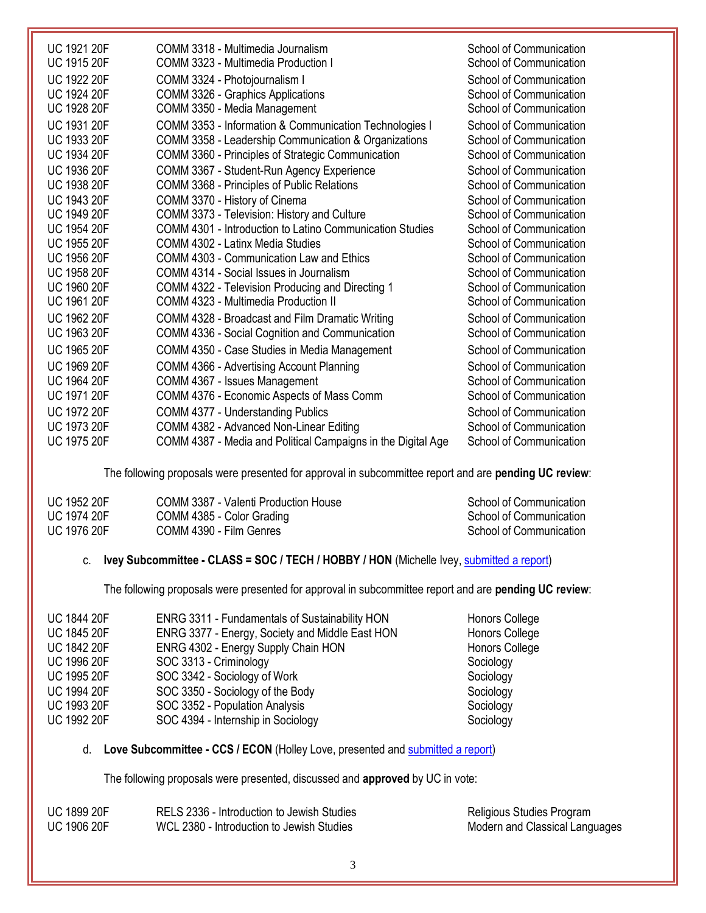| <b>UC 1922 20F</b><br>School of Communication<br>COMM 3324 - Photojournalism I<br><b>UC 1924 20F</b><br>COMM 3326 - Graphics Applications<br>School of Communication<br>UC 1928 20F<br>COMM 3350 - Media Management<br>School of Communication<br>UC 1931 20F<br>COMM 3353 - Information & Communication Technologies I<br>School of Communication<br><b>UC 1933 20F</b><br>School of Communication<br>COMM 3358 - Leadership Communication & Organizations<br><b>UC 1934 20F</b><br>COMM 3360 - Principles of Strategic Communication<br>School of Communication<br>UC 1936 20F<br>School of Communication<br>COMM 3367 - Student-Run Agency Experience<br><b>UC 1938 20F</b><br>School of Communication<br>COMM 3368 - Principles of Public Relations<br><b>UC 1943 20F</b><br>COMM 3370 - History of Cinema<br>School of Communication<br>COMM 3373 - Television: History and Culture<br><b>UC 1949 20F</b><br>School of Communication<br><b>UC 1954 20F</b><br>COMM 4301 - Introduction to Latino Communication Studies<br>School of Communication<br><b>UC 1955 20F</b><br>COMM 4302 - Latinx Media Studies<br>School of Communication<br><b>UC 1956 20F</b><br>School of Communication<br><b>COMM 4303 - Communication Law and Ethics</b><br><b>UC 1958 20F</b><br>School of Communication<br>COMM 4314 - Social Issues in Journalism<br><b>UC 1960 20F</b><br>COMM 4322 - Television Producing and Directing 1<br>School of Communication<br><b>UC 1961 20F</b><br>COMM 4323 - Multimedia Production II<br>School of Communication<br><b>UC 1962 20F</b><br>School of Communication<br>COMM 4328 - Broadcast and Film Dramatic Writing<br><b>UC 1963 20F</b><br>COMM 4336 - Social Cognition and Communication<br>School of Communication<br>UC 1965 20F<br>COMM 4350 - Case Studies in Media Management<br>School of Communication<br>UC 1969 20F<br>School of Communication<br>COMM 4366 - Advertising Account Planning<br><b>UC 1964 20F</b><br>COMM 4367 - Issues Management<br>School of Communication<br><b>UC 1971 20F</b><br>COMM 4376 - Economic Aspects of Mass Comm<br>School of Communication<br><b>UC 1972 20F</b><br>School of Communication<br>COMM 4377 - Understanding Publics<br><b>UC 1973 20F</b><br>COMM 4382 - Advanced Non-Linear Editing<br>School of Communication<br><b>UC 1975 20F</b><br>School of Communication<br>COMM 4387 - Media and Political Campaigns in the Digital Age | <b>UC 1921 20F</b><br><b>UC 1915 20F</b> | COMM 3318 - Multimedia Journalism<br>COMM 3323 - Multimedia Production I | School of Communication<br>School of Communication |
|---------------------------------------------------------------------------------------------------------------------------------------------------------------------------------------------------------------------------------------------------------------------------------------------------------------------------------------------------------------------------------------------------------------------------------------------------------------------------------------------------------------------------------------------------------------------------------------------------------------------------------------------------------------------------------------------------------------------------------------------------------------------------------------------------------------------------------------------------------------------------------------------------------------------------------------------------------------------------------------------------------------------------------------------------------------------------------------------------------------------------------------------------------------------------------------------------------------------------------------------------------------------------------------------------------------------------------------------------------------------------------------------------------------------------------------------------------------------------------------------------------------------------------------------------------------------------------------------------------------------------------------------------------------------------------------------------------------------------------------------------------------------------------------------------------------------------------------------------------------------------------------------------------------------------------------------------------------------------------------------------------------------------------------------------------------------------------------------------------------------------------------------------------------------------------------------------------------------------------------------------------------------------------------------------------------------------------------------------------------------------------------------------------------------|------------------------------------------|--------------------------------------------------------------------------|----------------------------------------------------|
|                                                                                                                                                                                                                                                                                                                                                                                                                                                                                                                                                                                                                                                                                                                                                                                                                                                                                                                                                                                                                                                                                                                                                                                                                                                                                                                                                                                                                                                                                                                                                                                                                                                                                                                                                                                                                                                                                                                                                                                                                                                                                                                                                                                                                                                                                                                                                                                                                     |                                          |                                                                          |                                                    |
|                                                                                                                                                                                                                                                                                                                                                                                                                                                                                                                                                                                                                                                                                                                                                                                                                                                                                                                                                                                                                                                                                                                                                                                                                                                                                                                                                                                                                                                                                                                                                                                                                                                                                                                                                                                                                                                                                                                                                                                                                                                                                                                                                                                                                                                                                                                                                                                                                     |                                          |                                                                          |                                                    |
|                                                                                                                                                                                                                                                                                                                                                                                                                                                                                                                                                                                                                                                                                                                                                                                                                                                                                                                                                                                                                                                                                                                                                                                                                                                                                                                                                                                                                                                                                                                                                                                                                                                                                                                                                                                                                                                                                                                                                                                                                                                                                                                                                                                                                                                                                                                                                                                                                     |                                          |                                                                          |                                                    |
|                                                                                                                                                                                                                                                                                                                                                                                                                                                                                                                                                                                                                                                                                                                                                                                                                                                                                                                                                                                                                                                                                                                                                                                                                                                                                                                                                                                                                                                                                                                                                                                                                                                                                                                                                                                                                                                                                                                                                                                                                                                                                                                                                                                                                                                                                                                                                                                                                     |                                          |                                                                          |                                                    |
|                                                                                                                                                                                                                                                                                                                                                                                                                                                                                                                                                                                                                                                                                                                                                                                                                                                                                                                                                                                                                                                                                                                                                                                                                                                                                                                                                                                                                                                                                                                                                                                                                                                                                                                                                                                                                                                                                                                                                                                                                                                                                                                                                                                                                                                                                                                                                                                                                     |                                          |                                                                          |                                                    |
|                                                                                                                                                                                                                                                                                                                                                                                                                                                                                                                                                                                                                                                                                                                                                                                                                                                                                                                                                                                                                                                                                                                                                                                                                                                                                                                                                                                                                                                                                                                                                                                                                                                                                                                                                                                                                                                                                                                                                                                                                                                                                                                                                                                                                                                                                                                                                                                                                     |                                          |                                                                          |                                                    |
|                                                                                                                                                                                                                                                                                                                                                                                                                                                                                                                                                                                                                                                                                                                                                                                                                                                                                                                                                                                                                                                                                                                                                                                                                                                                                                                                                                                                                                                                                                                                                                                                                                                                                                                                                                                                                                                                                                                                                                                                                                                                                                                                                                                                                                                                                                                                                                                                                     |                                          |                                                                          |                                                    |
|                                                                                                                                                                                                                                                                                                                                                                                                                                                                                                                                                                                                                                                                                                                                                                                                                                                                                                                                                                                                                                                                                                                                                                                                                                                                                                                                                                                                                                                                                                                                                                                                                                                                                                                                                                                                                                                                                                                                                                                                                                                                                                                                                                                                                                                                                                                                                                                                                     |                                          |                                                                          |                                                    |
|                                                                                                                                                                                                                                                                                                                                                                                                                                                                                                                                                                                                                                                                                                                                                                                                                                                                                                                                                                                                                                                                                                                                                                                                                                                                                                                                                                                                                                                                                                                                                                                                                                                                                                                                                                                                                                                                                                                                                                                                                                                                                                                                                                                                                                                                                                                                                                                                                     |                                          |                                                                          |                                                    |
|                                                                                                                                                                                                                                                                                                                                                                                                                                                                                                                                                                                                                                                                                                                                                                                                                                                                                                                                                                                                                                                                                                                                                                                                                                                                                                                                                                                                                                                                                                                                                                                                                                                                                                                                                                                                                                                                                                                                                                                                                                                                                                                                                                                                                                                                                                                                                                                                                     |                                          |                                                                          |                                                    |
|                                                                                                                                                                                                                                                                                                                                                                                                                                                                                                                                                                                                                                                                                                                                                                                                                                                                                                                                                                                                                                                                                                                                                                                                                                                                                                                                                                                                                                                                                                                                                                                                                                                                                                                                                                                                                                                                                                                                                                                                                                                                                                                                                                                                                                                                                                                                                                                                                     |                                          |                                                                          |                                                    |
|                                                                                                                                                                                                                                                                                                                                                                                                                                                                                                                                                                                                                                                                                                                                                                                                                                                                                                                                                                                                                                                                                                                                                                                                                                                                                                                                                                                                                                                                                                                                                                                                                                                                                                                                                                                                                                                                                                                                                                                                                                                                                                                                                                                                                                                                                                                                                                                                                     |                                          |                                                                          |                                                    |
|                                                                                                                                                                                                                                                                                                                                                                                                                                                                                                                                                                                                                                                                                                                                                                                                                                                                                                                                                                                                                                                                                                                                                                                                                                                                                                                                                                                                                                                                                                                                                                                                                                                                                                                                                                                                                                                                                                                                                                                                                                                                                                                                                                                                                                                                                                                                                                                                                     |                                          |                                                                          |                                                    |
|                                                                                                                                                                                                                                                                                                                                                                                                                                                                                                                                                                                                                                                                                                                                                                                                                                                                                                                                                                                                                                                                                                                                                                                                                                                                                                                                                                                                                                                                                                                                                                                                                                                                                                                                                                                                                                                                                                                                                                                                                                                                                                                                                                                                                                                                                                                                                                                                                     |                                          |                                                                          |                                                    |
|                                                                                                                                                                                                                                                                                                                                                                                                                                                                                                                                                                                                                                                                                                                                                                                                                                                                                                                                                                                                                                                                                                                                                                                                                                                                                                                                                                                                                                                                                                                                                                                                                                                                                                                                                                                                                                                                                                                                                                                                                                                                                                                                                                                                                                                                                                                                                                                                                     |                                          |                                                                          |                                                    |
|                                                                                                                                                                                                                                                                                                                                                                                                                                                                                                                                                                                                                                                                                                                                                                                                                                                                                                                                                                                                                                                                                                                                                                                                                                                                                                                                                                                                                                                                                                                                                                                                                                                                                                                                                                                                                                                                                                                                                                                                                                                                                                                                                                                                                                                                                                                                                                                                                     |                                          |                                                                          |                                                    |
|                                                                                                                                                                                                                                                                                                                                                                                                                                                                                                                                                                                                                                                                                                                                                                                                                                                                                                                                                                                                                                                                                                                                                                                                                                                                                                                                                                                                                                                                                                                                                                                                                                                                                                                                                                                                                                                                                                                                                                                                                                                                                                                                                                                                                                                                                                                                                                                                                     |                                          |                                                                          |                                                    |
|                                                                                                                                                                                                                                                                                                                                                                                                                                                                                                                                                                                                                                                                                                                                                                                                                                                                                                                                                                                                                                                                                                                                                                                                                                                                                                                                                                                                                                                                                                                                                                                                                                                                                                                                                                                                                                                                                                                                                                                                                                                                                                                                                                                                                                                                                                                                                                                                                     |                                          |                                                                          |                                                    |
|                                                                                                                                                                                                                                                                                                                                                                                                                                                                                                                                                                                                                                                                                                                                                                                                                                                                                                                                                                                                                                                                                                                                                                                                                                                                                                                                                                                                                                                                                                                                                                                                                                                                                                                                                                                                                                                                                                                                                                                                                                                                                                                                                                                                                                                                                                                                                                                                                     |                                          |                                                                          |                                                    |
|                                                                                                                                                                                                                                                                                                                                                                                                                                                                                                                                                                                                                                                                                                                                                                                                                                                                                                                                                                                                                                                                                                                                                                                                                                                                                                                                                                                                                                                                                                                                                                                                                                                                                                                                                                                                                                                                                                                                                                                                                                                                                                                                                                                                                                                                                                                                                                                                                     |                                          |                                                                          |                                                    |
|                                                                                                                                                                                                                                                                                                                                                                                                                                                                                                                                                                                                                                                                                                                                                                                                                                                                                                                                                                                                                                                                                                                                                                                                                                                                                                                                                                                                                                                                                                                                                                                                                                                                                                                                                                                                                                                                                                                                                                                                                                                                                                                                                                                                                                                                                                                                                                                                                     |                                          |                                                                          |                                                    |
|                                                                                                                                                                                                                                                                                                                                                                                                                                                                                                                                                                                                                                                                                                                                                                                                                                                                                                                                                                                                                                                                                                                                                                                                                                                                                                                                                                                                                                                                                                                                                                                                                                                                                                                                                                                                                                                                                                                                                                                                                                                                                                                                                                                                                                                                                                                                                                                                                     |                                          |                                                                          |                                                    |
|                                                                                                                                                                                                                                                                                                                                                                                                                                                                                                                                                                                                                                                                                                                                                                                                                                                                                                                                                                                                                                                                                                                                                                                                                                                                                                                                                                                                                                                                                                                                                                                                                                                                                                                                                                                                                                                                                                                                                                                                                                                                                                                                                                                                                                                                                                                                                                                                                     |                                          |                                                                          |                                                    |
|                                                                                                                                                                                                                                                                                                                                                                                                                                                                                                                                                                                                                                                                                                                                                                                                                                                                                                                                                                                                                                                                                                                                                                                                                                                                                                                                                                                                                                                                                                                                                                                                                                                                                                                                                                                                                                                                                                                                                                                                                                                                                                                                                                                                                                                                                                                                                                                                                     |                                          |                                                                          |                                                    |
|                                                                                                                                                                                                                                                                                                                                                                                                                                                                                                                                                                                                                                                                                                                                                                                                                                                                                                                                                                                                                                                                                                                                                                                                                                                                                                                                                                                                                                                                                                                                                                                                                                                                                                                                                                                                                                                                                                                                                                                                                                                                                                                                                                                                                                                                                                                                                                                                                     |                                          |                                                                          |                                                    |

The following proposals were presented for approval in subcommittee report and are **pending UC review**:

| <b>UC 1952 20F</b> | COMM 3387 - Valenti Production House | School of Communication |
|--------------------|--------------------------------------|-------------------------|
| <b>UC 1974 20F</b> | COMM 4385 - Color Grading            | School of Communication |
| <b>UC 1976 20F</b> | COMM 4390 - Film Genres              | School of Communication |

# c. **Ivey Subcommittee - CLASS = SOC / TECH / HOBBY / HON** (Michelle Ivey, [submitted a report\)](https://uofh.sharepoint.com/:w:/s/uc/admin/EcyKPFB30G1MnoiVifNbmRQBBnGCZ53ns-ZqkQYfrRY2lA?e=q8QUSS)

The following proposals were presented for approval in subcommittee report and are **pending UC review**:

| <b>UC 1844 20F</b><br><b>UC 1845 20F</b> | ENRG 3311 - Fundamentals of Sustainability HON<br>ENRG 3377 - Energy, Society and Middle East HON | Honors College<br>Honors College |
|------------------------------------------|---------------------------------------------------------------------------------------------------|----------------------------------|
| <b>UC 1842 20F</b>                       | ENRG 4302 - Energy Supply Chain HON                                                               | Honors College                   |
| <b>UC 1996 20F</b>                       | SOC 3313 - Criminology                                                                            | Sociology                        |
| <b>UC 1995 20F</b>                       | SOC 3342 - Sociology of Work                                                                      | Sociology                        |
| <b>UC 1994 20F</b>                       | SOC 3350 - Sociology of the Body                                                                  | Sociology                        |
| <b>UC 1993 20F</b>                       | SOC 3352 - Population Analysis                                                                    | Sociology                        |
| <b>UC 1992 20F</b>                       | SOC 4394 - Internship in Sociology                                                                | Sociology                        |

# d. **Love Subcommittee - CCS / ECON** (Holley Love, presented and [submitted a report\)](https://uofh.sharepoint.com/:b:/s/uc/admin/EQhtBFYaqolKoq4zAcIm-QMBZ_rDDgpPwNBQAV8U2TzhLA?e=C6o1Ba)

The following proposals were presented, discussed and **approved** by UC in vote:

| <b>UC 1899 20F</b> | RELS 2336 - Introduction to Jewish Studies | Religious Studies Program      |
|--------------------|--------------------------------------------|--------------------------------|
| <b>UC 1906 20F</b> | WCL 2380 - Introduction to Jewish Studies  | Modern and Classical Languages |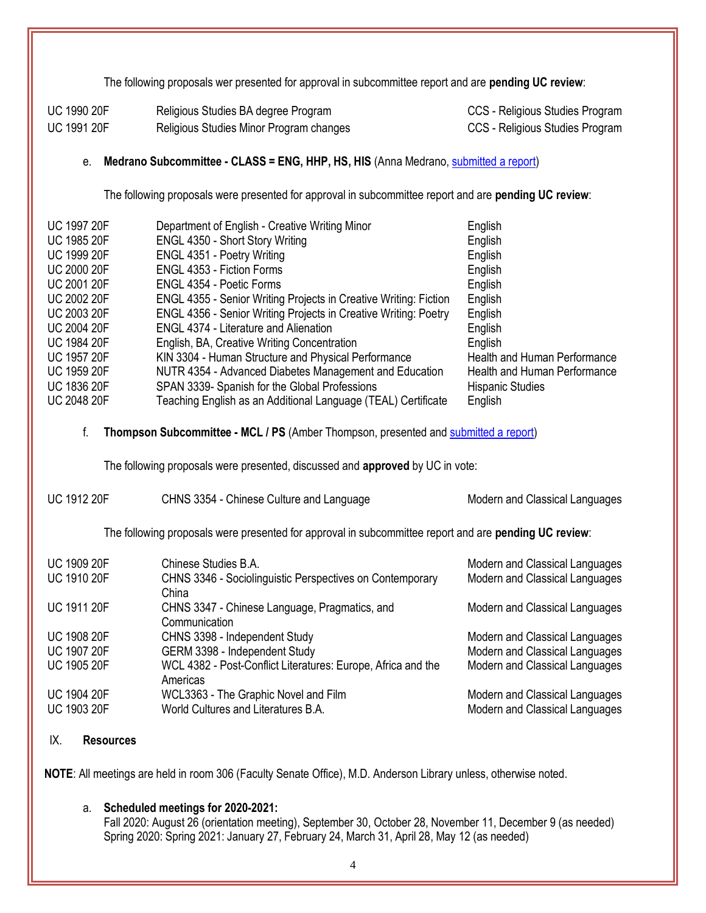The following proposals wer presented for approval in subcommittee report and are **pending UC review**:

| <b>UC 1990 20F</b> | Religious Studies BA degree Program     | CCS - Religious Studies Program |
|--------------------|-----------------------------------------|---------------------------------|
| <b>UC 1991 20F</b> | Religious Studies Minor Program changes | CCS - Religious Studies Program |

## e. **Medrano Subcommittee - CLASS = ENG, HHP, HS, HIS** (Anna Medrano, [submitted a report\)](https://uofh.sharepoint.com/:w:/s/uc/admin/EbpKZu4FgxZAmDwbXHU-s-YBGVUO7uwrL9OHNxY4GhginQ?e=XFDH4V)

The following proposals were presented for approval in subcommittee report and are **pending UC review**:

| <b>UC 1997 20F</b> | Department of English - Creative Writing Minor                   | English                      |
|--------------------|------------------------------------------------------------------|------------------------------|
| <b>UC 1985 20F</b> | ENGL 4350 - Short Story Writing                                  | English                      |
| <b>UC 1999 20F</b> | ENGL 4351 - Poetry Writing                                       | English                      |
| <b>UC 2000 20F</b> | <b>ENGL 4353 - Fiction Forms</b>                                 | English                      |
| <b>UC 2001 20F</b> | ENGL 4354 - Poetic Forms                                         | English                      |
| <b>UC 2002 20F</b> | ENGL 4355 - Senior Writing Projects in Creative Writing: Fiction | English                      |
| <b>UC 2003 20F</b> | ENGL 4356 - Senior Writing Projects in Creative Writing: Poetry  | English                      |
| <b>UC 2004 20F</b> | <b>ENGL 4374 - Literature and Alienation</b>                     | English                      |
| <b>UC 1984 20F</b> | English, BA, Creative Writing Concentration                      | English                      |
| <b>UC 1957 20F</b> | KIN 3304 - Human Structure and Physical Performance              | Health and Human Performance |
| <b>UC 1959 20F</b> | NUTR 4354 - Advanced Diabetes Management and Education           | Health and Human Performance |
| <b>UC 1836 20F</b> | SPAN 3339- Spanish for the Global Professions                    | <b>Hispanic Studies</b>      |
| <b>UC 2048 20F</b> | Teaching English as an Additional Language (TEAL) Certificate    | English                      |

#### f. **Thompson Subcommittee - MCL / PS** (Amber Thompson, presented and [submitted a report\)](https://uofh.sharepoint.com/:w:/s/uc/admin/EV6AANDmU6RDrVMmUGOzzl8B4rSdgamXigynMKfOy6Bhhw?e=o637zf)

The following proposals were presented, discussed and **approved** by UC in vote:

| <b>UC 1912 20F</b> | CHNS 3354 - Chinese Culture and Language | Modern and Classical Languages |
|--------------------|------------------------------------------|--------------------------------|
|                    |                                          |                                |

The following proposals were presented for approval in subcommittee report and are **pending UC review**:

| <b>UC 1909 20F</b> | Chinese Studies B.A.                                                     | Modern and Classical Languages |
|--------------------|--------------------------------------------------------------------------|--------------------------------|
| <b>UC 1910 20F</b> | CHNS 3346 - Sociolinguistic Perspectives on Contemporary<br>China        | Modern and Classical Languages |
| <b>UC 1911 20F</b> | CHNS 3347 - Chinese Language, Pragmatics, and<br>Communication           | Modern and Classical Languages |
| <b>UC 1908 20F</b> | CHNS 3398 - Independent Study                                            | Modern and Classical Languages |
| <b>UC 1907 20F</b> | GERM 3398 - Independent Study                                            | Modern and Classical Languages |
| <b>UC 1905 20F</b> | WCL 4382 - Post-Conflict Literatures: Europe, Africa and the<br>Americas | Modern and Classical Languages |
| <b>UC 1904 20F</b> | WCL3363 - The Graphic Novel and Film                                     | Modern and Classical Languages |
| <b>UC 1903 20F</b> | World Cultures and Literatures B.A.                                      | Modern and Classical Languages |

#### IX. **Resources**

**NOTE**: All meetings are held in room 306 (Faculty Senate Office), M.D. Anderson Library unless, otherwise noted.

## a. **Scheduled meetings for 2020-2021:**

Fall 2020: August 26 (orientation meeting), September 30, October 28, November 11, December 9 (as needed) Spring 2020: Spring 2021: January 27, February 24, March 31, April 28, May 12 (as needed)